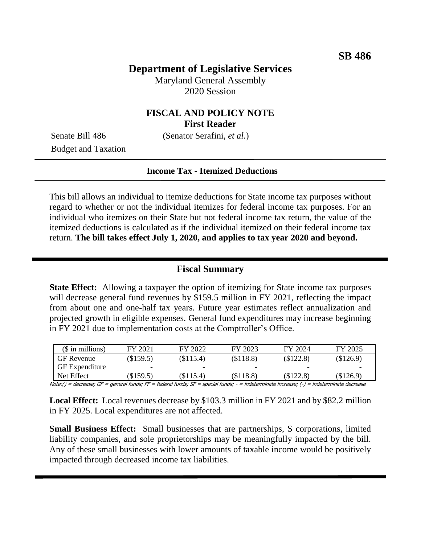## **Department of Legislative Services**

Maryland General Assembly 2020 Session

### **FISCAL AND POLICY NOTE First Reader**

Senate Bill 486 (Senator Serafini, *et al.*)

Budget and Taxation

#### **Income Tax - Itemized Deductions**

This bill allows an individual to itemize deductions for State income tax purposes without regard to whether or not the individual itemizes for federal income tax purposes. For an individual who itemizes on their State but not federal income tax return, the value of the itemized deductions is calculated as if the individual itemized on their federal income tax return. **The bill takes effect July 1, 2020, and applies to tax year 2020 and beyond.** 

#### **Fiscal Summary**

**State Effect:** Allowing a taxpayer the option of itemizing for State income tax purposes will decrease general fund revenues by \$159.5 million in FY 2021, reflecting the impact from about one and one-half tax years. Future year estimates reflect annualization and projected growth in eligible expenses. General fund expenditures may increase beginning in FY 2021 due to implementation costs at the Comptroller's Office.

| $($$ in millions)     | FY 2021   | FY 2022   | FY 2023   | FY 2024   | FY 2025     |
|-----------------------|-----------|-----------|-----------|-----------|-------------|
| <b>GF</b> Revenue     | (\$159.5) | (\$115.4) | (\$118.8) | (\$122.8) | (\$126.9)   |
| <b>GF</b> Expenditure |           | -         | -         | -         | -           |
| Net Effect            | \$159.5   | (\$115.4) | (S118.8)  | (S122.8)  | $(\$126.9)$ |

Note:() = decrease; GF = general funds; FF = federal funds; SF = special funds; - = indeterminate increase; (-) = indeterminate decrease

**Local Effect:** Local revenues decrease by \$103.3 million in FY 2021 and by \$82.2 million in FY 2025. Local expenditures are not affected.

**Small Business Effect:** Small businesses that are partnerships, S corporations, limited liability companies, and sole proprietorships may be meaningfully impacted by the bill. Any of these small businesses with lower amounts of taxable income would be positively impacted through decreased income tax liabilities.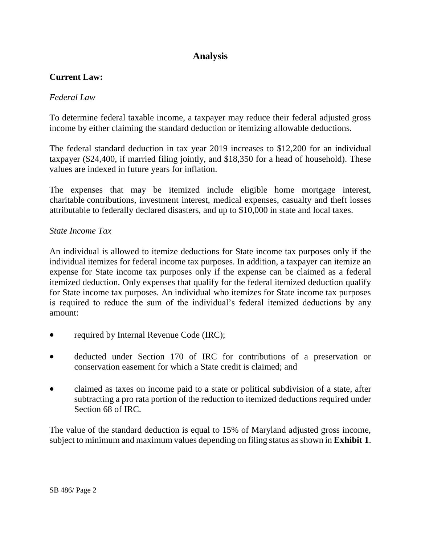# **Analysis**

## **Current Law:**

### *Federal Law*

To determine federal taxable income, a taxpayer may reduce their federal adjusted gross income by either claiming the standard deduction or itemizing allowable deductions.

The federal standard deduction in tax year 2019 increases to \$12,200 for an individual taxpayer (\$24,400, if married filing jointly, and \$18,350 for a head of household). These values are indexed in future years for inflation.

The expenses that may be itemized include eligible home mortgage interest, charitable contributions, investment interest, medical expenses, casualty and theft losses attributable to federally declared disasters, and up to \$10,000 in state and local taxes.

### *State Income Tax*

An individual is allowed to itemize deductions for State income tax purposes only if the individual itemizes for federal income tax purposes. In addition, a taxpayer can itemize an expense for State income tax purposes only if the expense can be claimed as a federal itemized deduction. Only expenses that qualify for the federal itemized deduction qualify for State income tax purposes. An individual who itemizes for State income tax purposes is required to reduce the sum of the individual's federal itemized deductions by any amount:

- required by Internal Revenue Code (IRC);
- deducted under Section 170 of IRC for contributions of a preservation or conservation easement for which a State credit is claimed; and
- claimed as taxes on income paid to a state or political subdivision of a state, after subtracting a pro rata portion of the reduction to itemized deductions required under Section 68 of IRC.

The value of the standard deduction is equal to 15% of Maryland adjusted gross income, subject to minimum and maximum values depending on filing status as shown in **Exhibit 1**.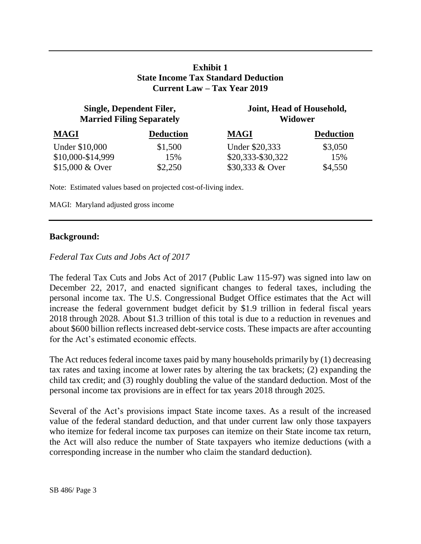### **Exhibit 1 State Income Tax Standard Deduction Current Law – Tax Year 2019**

| Single, Dependent Filer,<br><b>Married Filing Separately</b> |                  | Joint, Head of Household,<br>Widower |                  |  |
|--------------------------------------------------------------|------------------|--------------------------------------|------------------|--|
| <b>MAGI</b>                                                  | <b>Deduction</b> | <b>MAGI</b>                          | <b>Deduction</b> |  |
| Under \$10,000                                               | \$1,500          | Under \$20,333                       | \$3,050          |  |
| \$10,000-\$14,999                                            | 15%              | \$20,333-\$30,322                    | 15%              |  |
| $$15,000 \& Qver$                                            | \$2,250          | \$30,333 & Over                      | \$4,550          |  |

Note: Estimated values based on projected cost-of-living index.

MAGI: Maryland adjusted gross income

#### **Background:**

#### *Federal Tax Cuts and Jobs Act of 2017*

The federal Tax Cuts and Jobs Act of 2017 (Public Law 115-97) was signed into law on December 22, 2017, and enacted significant changes to federal taxes, including the personal income tax. The U.S. Congressional Budget Office estimates that the Act will increase the federal government budget deficit by \$1.9 trillion in federal fiscal years 2018 through 2028. About \$1.3 trillion of this total is due to a reduction in revenues and about \$600 billion reflects increased debt-service costs. These impacts are after accounting for the Act's estimated economic effects.

The Act reduces federal income taxes paid by many households primarily by (1) decreasing tax rates and taxing income at lower rates by altering the tax brackets; (2) expanding the child tax credit; and (3) roughly doubling the value of the standard deduction. Most of the personal income tax provisions are in effect for tax years 2018 through 2025.

Several of the Act's provisions impact State income taxes. As a result of the increased value of the federal standard deduction, and that under current law only those taxpayers who itemize for federal income tax purposes can itemize on their State income tax return, the Act will also reduce the number of State taxpayers who itemize deductions (with a corresponding increase in the number who claim the standard deduction).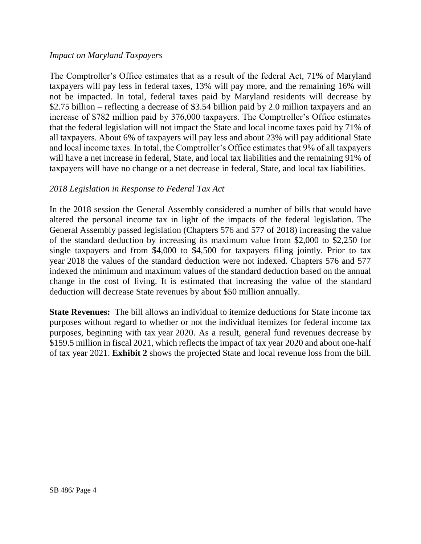#### *Impact on Maryland Taxpayers*

The Comptroller's Office estimates that as a result of the federal Act, 71% of Maryland taxpayers will pay less in federal taxes, 13% will pay more, and the remaining 16% will not be impacted. In total, federal taxes paid by Maryland residents will decrease by \$2.75 billion – reflecting a decrease of \$3.54 billion paid by 2.0 million taxpayers and an increase of \$782 million paid by 376,000 taxpayers. The Comptroller's Office estimates that the federal legislation will not impact the State and local income taxes paid by 71% of all taxpayers. About 6% of taxpayers will pay less and about 23% will pay additional State and local income taxes. In total, the Comptroller's Office estimates that 9% of all taxpayers will have a net increase in federal, State, and local tax liabilities and the remaining 91% of taxpayers will have no change or a net decrease in federal, State, and local tax liabilities.

### *2018 Legislation in Response to Federal Tax Act*

In the 2018 session the General Assembly considered a number of bills that would have altered the personal income tax in light of the impacts of the federal legislation. The General Assembly passed legislation (Chapters 576 and 577 of 2018) increasing the value of the standard deduction by increasing its maximum value from \$2,000 to \$2,250 for single taxpayers and from \$4,000 to \$4,500 for taxpayers filing jointly. Prior to tax year 2018 the values of the standard deduction were not indexed. Chapters 576 and 577 indexed the minimum and maximum values of the standard deduction based on the annual change in the cost of living. It is estimated that increasing the value of the standard deduction will decrease State revenues by about \$50 million annually.

**State Revenues:** The bill allows an individual to itemize deductions for State income tax purposes without regard to whether or not the individual itemizes for federal income tax purposes, beginning with tax year 2020. As a result, general fund revenues decrease by \$159.5 million in fiscal 2021, which reflects the impact of tax year 2020 and about one-half of tax year 2021. **Exhibit 2** shows the projected State and local revenue loss from the bill.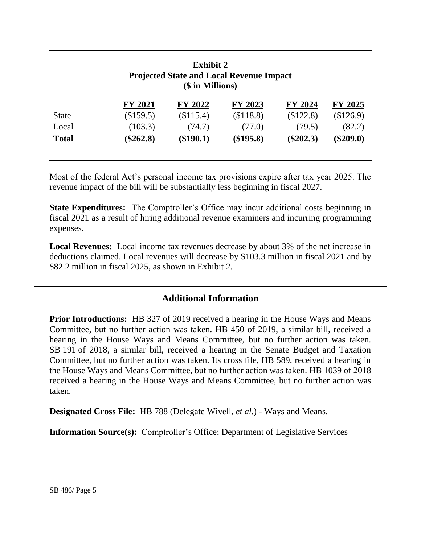| <b>Exhibit 2</b><br><b>Projected State and Local Revenue Impact</b><br>(\$ in Millions) |                |           |           |             |             |  |  |  |
|-----------------------------------------------------------------------------------------|----------------|-----------|-----------|-------------|-------------|--|--|--|
|                                                                                         | <b>FY 2021</b> | FY 2022   | FY 2023   | FY 2024     | FY 2025     |  |  |  |
| <b>State</b>                                                                            | (\$159.5)      | (\$115.4) | (\$118.8) | (\$122.8)   | (\$126.9)   |  |  |  |
| Local                                                                                   | (103.3)        | (74.7)    | (77.0)    | (79.5)      | (82.2)      |  |  |  |
| <b>Total</b>                                                                            | $(\$262.8)$    | (\$190.1) | (\$195.8) | $(\$202.3)$ | $(\$209.0)$ |  |  |  |

Most of the federal Act's personal income tax provisions expire after tax year 2025. The revenue impact of the bill will be substantially less beginning in fiscal 2027.

**State Expenditures:** The Comptroller's Office may incur additional costs beginning in fiscal 2021 as a result of hiring additional revenue examiners and incurring programming expenses.

**Local Revenues:** Local income tax revenues decrease by about 3% of the net increase in deductions claimed. Local revenues will decrease by \$103.3 million in fiscal 2021 and by \$82.2 million in fiscal 2025, as shown in Exhibit 2.

## **Additional Information**

**Prior Introductions:** HB 327 of 2019 received a hearing in the House Ways and Means Committee, but no further action was taken. HB 450 of 2019, a similar bill, received a hearing in the House Ways and Means Committee, but no further action was taken. SB 191 of 2018, a similar bill, received a hearing in the Senate Budget and Taxation Committee, but no further action was taken. Its cross file, HB 589, received a hearing in the House Ways and Means Committee, but no further action was taken. HB 1039 of 2018 received a hearing in the House Ways and Means Committee, but no further action was taken.

**Designated Cross File:** HB 788 (Delegate Wivell, *et al.*) - Ways and Means.

**Information Source(s):** Comptroller's Office; Department of Legislative Services